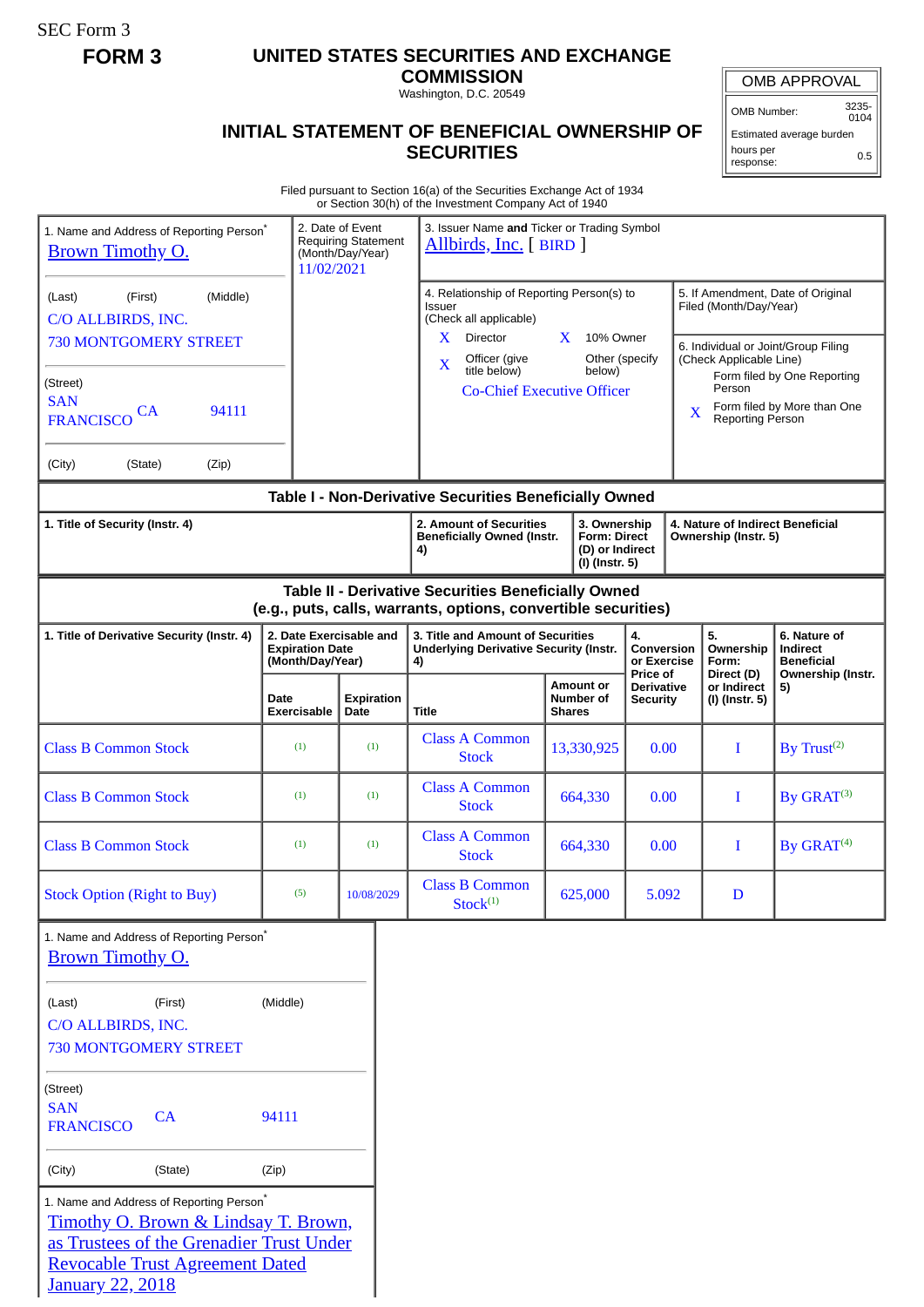SEC Form 3

## **FORM 3 UNITED STATES SECURITIES AND EXCHANGE**

**COMMISSION** Washington, D.C. 20549

## **INITIAL STATEMENT OF BENEFICIAL OWNERSHIP OF SECURITIES**

OMB APPROVAL

OMB Number: 3235- 0104

Estimated average burden hours per response: 0.5

Filed pursuant to Section 16(a) of the Securities Exchange Act of 1934 or Section 30(h) of the Investment Company Act of 1940

| 1. Name and Address of Reporting Person <sup>®</sup><br><b>Brown Timothy O.</b>                                                                                                                               | 11/02/2021                                                            | 2. Date of Event<br><b>Requiring Statement</b><br>(Month/Day/Year) | 3. Issuer Name and Ticker or Trading Symbol<br>Allbirds, Inc. [ BIRD ]                                                |                                                                                                                                          |                               |                                             |                                                          |                                                              |                                                                                                   |
|---------------------------------------------------------------------------------------------------------------------------------------------------------------------------------------------------------------|-----------------------------------------------------------------------|--------------------------------------------------------------------|-----------------------------------------------------------------------------------------------------------------------|------------------------------------------------------------------------------------------------------------------------------------------|-------------------------------|---------------------------------------------|----------------------------------------------------------|--------------------------------------------------------------|---------------------------------------------------------------------------------------------------|
| (Middle)<br>(First)<br>(Last)<br>C/O ALLBIRDS, INC.<br><b>730 MONTGOMERY STREET</b>                                                                                                                           |                                                                       |                                                                    | 4. Relationship of Reporting Person(s) to<br>Issuer<br>(Check all applicable)<br>X<br>Director                        |                                                                                                                                          | $X$ 10% Owner                 |                                             |                                                          | Filed (Month/Day/Year)                                       | 5. If Amendment, Date of Original                                                                 |
| (Street)<br><b>SAN</b><br>94111<br><b>CA</b><br><b>FRANCISCO</b>                                                                                                                                              |                                                                       |                                                                    | Officer (give<br>X<br>title below)<br><b>Co-Chief Executive Officer</b>                                               |                                                                                                                                          | Other (specify<br>below)      |                                             | X                                                        | (Check Applicable Line)<br>Person<br><b>Reporting Person</b> | 6. Individual or Joint/Group Filing<br>Form filed by One Reporting<br>Form filed by More than One |
| (Zip)<br>(City)<br>(State)                                                                                                                                                                                    |                                                                       |                                                                    |                                                                                                                       |                                                                                                                                          |                               |                                             |                                                          |                                                              |                                                                                                   |
|                                                                                                                                                                                                               |                                                                       |                                                                    | Table I - Non-Derivative Securities Beneficially Owned                                                                |                                                                                                                                          |                               |                                             |                                                          |                                                              |                                                                                                   |
| 1. Title of Security (Instr. 4)                                                                                                                                                                               |                                                                       |                                                                    | 4)                                                                                                                    | 2. Amount of Securities<br>3. Ownership<br><b>Form: Direct</b><br><b>Beneficially Owned (Instr.</b><br>(D) or Indirect<br>(I) (Instr. 5) |                               |                                             | 4. Nature of Indirect Beneficial<br>Ownership (Instr. 5) |                                                              |                                                                                                   |
|                                                                                                                                                                                                               |                                                                       |                                                                    | Table II - Derivative Securities Beneficially Owned<br>(e.g., puts, calls, warrants, options, convertible securities) |                                                                                                                                          |                               |                                             |                                                          |                                                              |                                                                                                   |
| 1. Title of Derivative Security (Instr. 4)                                                                                                                                                                    | 2. Date Exercisable and<br><b>Expiration Date</b><br>(Month/Day/Year) |                                                                    | 3. Title and Amount of Securities<br><b>Underlying Derivative Security (Instr.</b><br>4)                              |                                                                                                                                          |                               | 4.<br>Conversion<br>or Exercise<br>Price of |                                                          | 5.<br>Ownership<br>Form:<br>Direct (D)                       | 6. Nature of<br>Indirect<br><b>Beneficial</b><br>Ownership (Instr.<br>5)                          |
|                                                                                                                                                                                                               | Date<br><b>Exercisable</b>                                            | <b>Expiration</b><br>Date                                          | Title                                                                                                                 | <b>Shares</b>                                                                                                                            | <b>Amount or</b><br>Number of | <b>Derivative</b><br><b>Security</b>        |                                                          | or Indirect<br>(I) (Instr. 5)                                |                                                                                                   |
| <b>Class B Common Stock</b>                                                                                                                                                                                   | (1)                                                                   | (1)                                                                | <b>Class A Common</b><br><b>Stock</b>                                                                                 |                                                                                                                                          | 13,330,925                    | 0.00                                        |                                                          | I                                                            | By $Trust^{(2)}$                                                                                  |
| <b>Class B Common Stock</b>                                                                                                                                                                                   | (1)                                                                   | (1)                                                                | <b>Class A Common</b><br><b>Stock</b>                                                                                 |                                                                                                                                          | 664,330                       | 0.00                                        |                                                          | I                                                            | By GRAT <sup>(3)</sup>                                                                            |
| <b>Class B Common Stock</b>                                                                                                                                                                                   | (1)                                                                   | (1)                                                                | <b>Class A Common</b><br><b>Stock</b>                                                                                 |                                                                                                                                          | 664,330                       | 0.00                                        |                                                          | I                                                            | By GRAT <sup>(4)</sup>                                                                            |
| <b>Stock Option (Right to Buy)</b>                                                                                                                                                                            | (5)                                                                   | 10/08/2029                                                         | <b>Class B Common</b><br>$Stock^{(1)}$                                                                                |                                                                                                                                          | 625,000                       | 5.092                                       |                                                          | D                                                            |                                                                                                   |
| 1. Name and Address of Reporting Person <sup>®</sup><br>Brown Timothy O.                                                                                                                                      |                                                                       |                                                                    |                                                                                                                       |                                                                                                                                          |                               |                                             |                                                          |                                                              |                                                                                                   |
| (Last)<br>(First)<br>C/O ALLBIRDS, INC.<br><b>730 MONTGOMERY STREET</b>                                                                                                                                       | (Middle)                                                              |                                                                    |                                                                                                                       |                                                                                                                                          |                               |                                             |                                                          |                                                              |                                                                                                   |
| (Street)<br><b>SAN</b><br>CA<br><b>FRANCISCO</b>                                                                                                                                                              | 94111                                                                 |                                                                    |                                                                                                                       |                                                                                                                                          |                               |                                             |                                                          |                                                              |                                                                                                   |
| (City)<br>(State)                                                                                                                                                                                             | (Zip)                                                                 |                                                                    |                                                                                                                       |                                                                                                                                          |                               |                                             |                                                          |                                                              |                                                                                                   |
| 1. Name and Address of Reporting Person <sup>*</sup><br>Timothy O. Brown & Lindsay T. Brown,<br>as Trustees of the Grenadier Trust Under<br><b>Revocable Trust Agreement Dated</b><br><b>January 22, 2018</b> |                                                                       |                                                                    |                                                                                                                       |                                                                                                                                          |                               |                                             |                                                          |                                                              |                                                                                                   |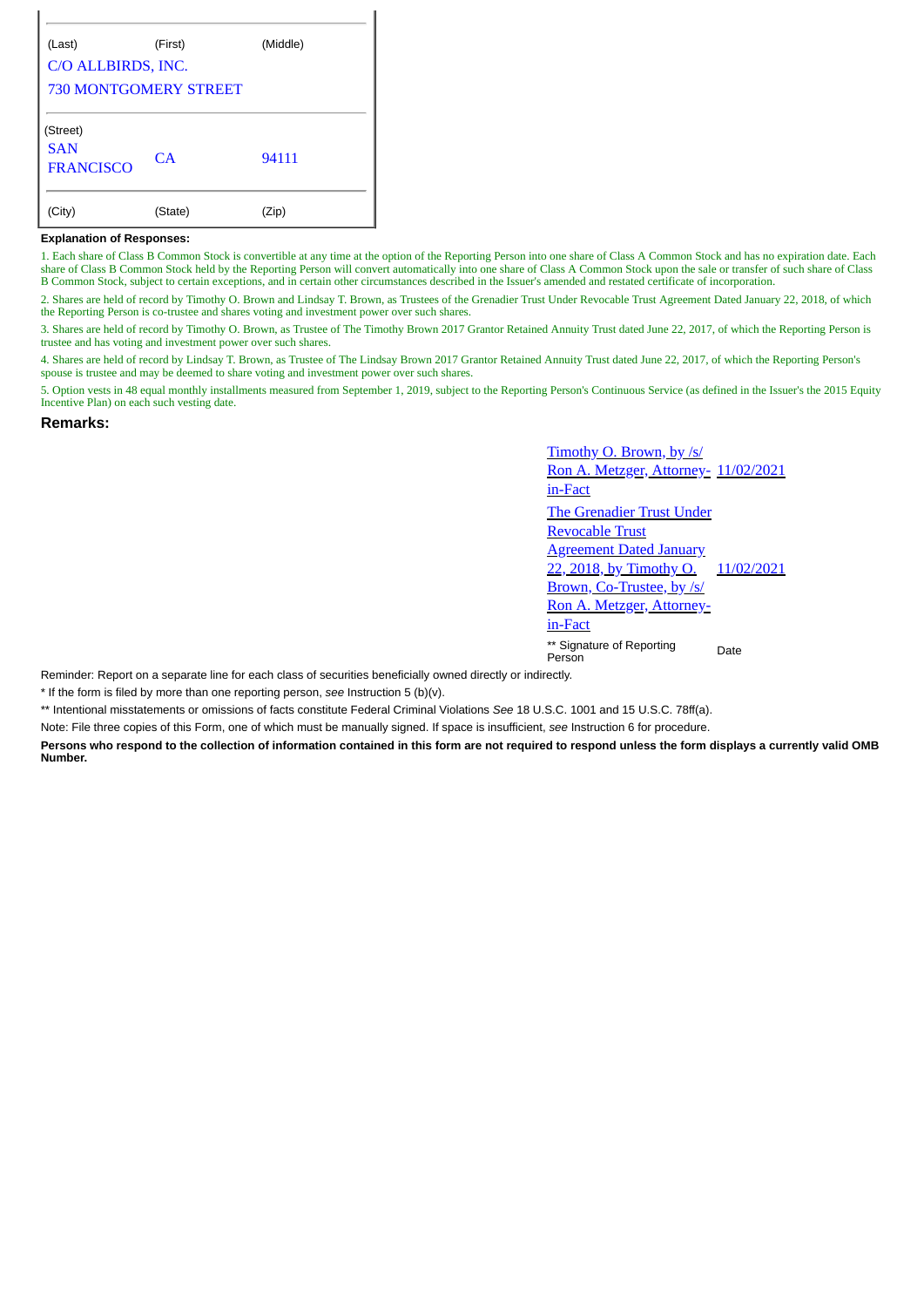| <b>730 MONTGOMERY STREET</b> |                    |
|------------------------------|--------------------|
|                              |                    |
|                              |                    |
|                              |                    |
|                              |                    |
| (First)                      | (Middle)           |
|                              | C/O ALLBIRDS, INC. |

## **Explanation of Responses:**

1. Each share of Class B Common Stock is convertible at any time at the option of the Reporting Person into one share of Class A Common Stock and has no expiration date. Each share of Class B Common Stock held by the Reporting Person will convert automatically into one share of Class A Common Stock upon the sale or transfer of such share of Class B Common Stock, subject to certain exceptions, and in certain other circumstances described in the Issuer's amended and restated certificate of incorporation.

2. Shares are held of record by Timothy O. Brown and Lindsay T. Brown, as Trustees of the Grenadier Trust Under Revocable Trust Agreement Dated January 22, 2018, of which the Reporting Person is co-trustee and shares voting and investment power over such shares.

3. Shares are held of record by Timothy O. Brown, as Trustee of The Timothy Brown 2017 Grantor Retained Annuity Trust dated June 22, 2017, of which the Reporting Person is trustee and has voting and investment power over such shares.

4. Shares are held of record by Lindsay T. Brown, as Trustee of The Lindsay Brown 2017 Grantor Retained Annuity Trust dated June 22, 2017, of which the Reporting Person's spouse is trustee and may be deemed to share voting and investment power over such shares.

5. Option vests in 48 equal monthly installments measured from September 1, 2019, subject to the Reporting Person's Continuous Service (as defined in the Issuer's the 2015 Equity Incentive Plan) on each such vesting date.

## **Remarks:**

Timothy O. Brown, by /s/ Ron A. Metzger, Attorney- 11/02/2021 in-Fact The Grenadier Trust Under Revocable Trust **Agreement Dated January** 22, 2018, by Timothy O. Brown, Co-Trustee, by /s/ Ron A. Metzger, Attorneyin-Fact 11/02/2021 \*\* Signature of Reporting Person Date

Reminder: Report on a separate line for each class of securities beneficially owned directly or indirectly.

\* If the form is filed by more than one reporting person, *see* Instruction 5 (b)(v).

\*\* Intentional misstatements or omissions of facts constitute Federal Criminal Violations *See* 18 U.S.C. 1001 and 15 U.S.C. 78ff(a).

Note: File three copies of this Form, one of which must be manually signed. If space is insufficient, *see* Instruction 6 for procedure.

**Persons who respond to the collection of information contained in this form are not required to respond unless the form displays a currently valid OMB Number.**